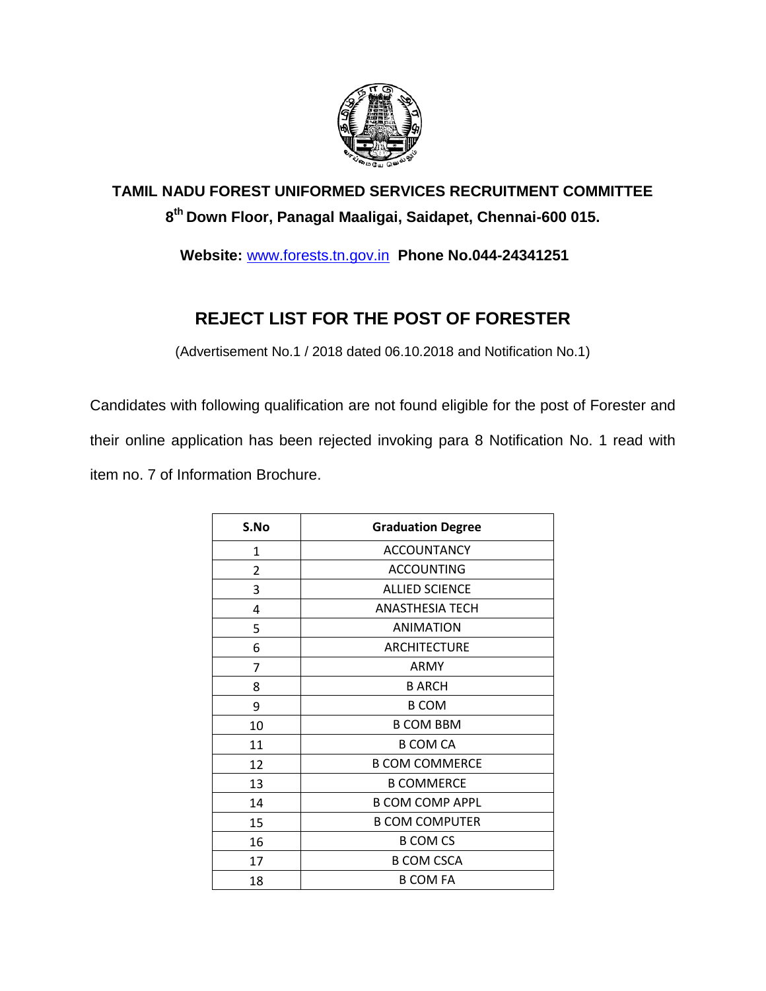

## **TAMIL NADU FOREST UNIFORMED SERVICES RECRUITMENT COMMITTEE th Down Floor, Panagal Maaligai, Saidapet, Chennai-600 015.**

**Website:** [www.forests.tn.gov.in](http://www.forests.tn.gov.in/) **Phone No.044-24341251**

## **REJECT LIST FOR THE POST OF FORESTER**

(Advertisement No.1 / 2018 dated 06.10.2018 and Notification No.1)

Candidates with following qualification are not found eligible for the post of Forester and their online application has been rejected invoking para 8 Notification No. 1 read with item no. 7 of Information Brochure.

| S.No           | <b>Graduation Degree</b> |
|----------------|--------------------------|
| 1              | <b>ACCOUNTANCY</b>       |
| $\overline{2}$ | <b>ACCOUNTING</b>        |
| 3              | <b>ALLIED SCIENCE</b>    |
| 4              | <b>ANASTHESIA TECH</b>   |
| 5              | <b>ANIMATION</b>         |
| 6              | <b>ARCHITECTURE</b>      |
| 7              | ARMY                     |
| 8              | <b>B ARCH</b>            |
| 9              | <b>B COM</b>             |
| 10             | <b>B COM BBM</b>         |
| 11             | <b>B COM CA</b>          |
| 12             | <b>B COM COMMERCE</b>    |
| 13             | <b>B COMMERCE</b>        |
| 14             | <b>B COM COMP APPL</b>   |
| 15             | <b>B COM COMPUTER</b>    |
| 16             | <b>B COM CS</b>          |
| 17             | <b>B COM CSCA</b>        |
| 18             | <b>B COM FA</b>          |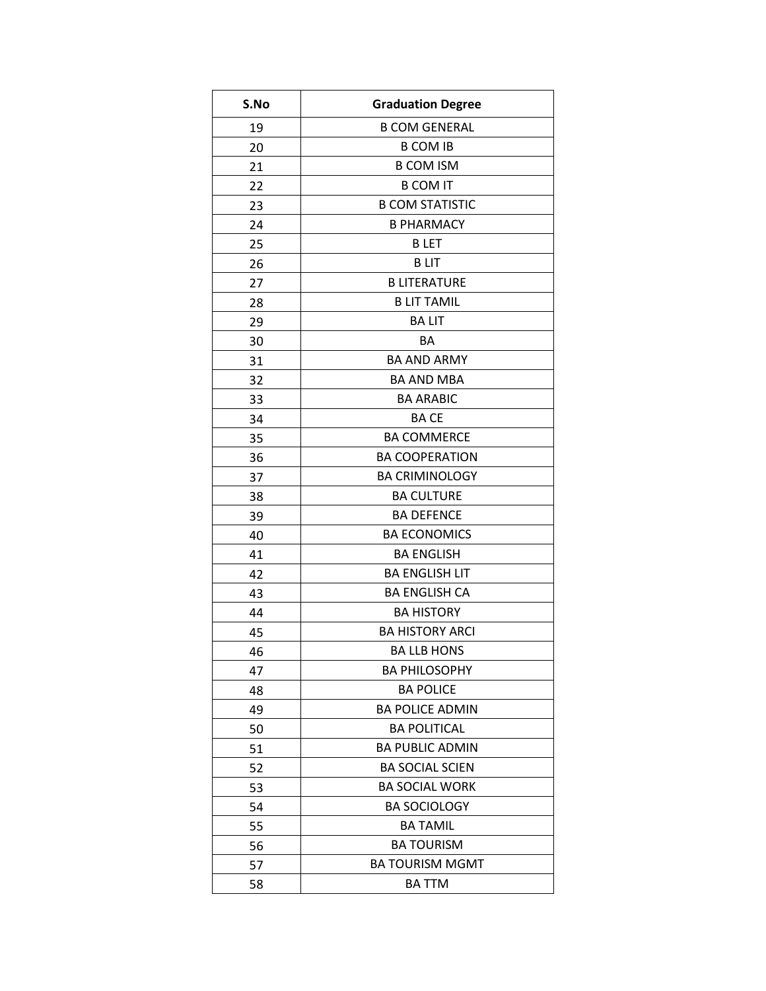| S.No | <b>Graduation Degree</b> |
|------|--------------------------|
| 19   | <b>B COM GENERAL</b>     |
| 20   | <b>B COM IB</b>          |
| 21   | <b>B COM ISM</b>         |
| 22   | <b>B COM IT</b>          |
| 23   | <b>B COM STATISTIC</b>   |
| 24   | <b>B PHARMACY</b>        |
| 25   | <b>BLET</b>              |
| 26   | <b>BLIT</b>              |
| 27   | <b>B LITERATURE</b>      |
| 28   | <b>B LIT TAMIL</b>       |
| 29   | <b>BALIT</b>             |
| 30   | BA                       |
| 31   | <b>BA AND ARMY</b>       |
| 32   | <b>BA AND MBA</b>        |
| 33   | <b>BA ARABIC</b>         |
| 34   | <b>BACE</b>              |
| 35   | <b>BA COMMERCE</b>       |
| 36   | <b>BA COOPERATION</b>    |
| 37   | <b>BA CRIMINOLOGY</b>    |
| 38   | <b>BA CULTURE</b>        |
| 39   | <b>BA DEFENCE</b>        |
| 40   | <b>BA ECONOMICS</b>      |
| 41   | <b>BA ENGLISH</b>        |
| 42   | <b>BA ENGLISH LIT</b>    |
| 43   | <b>BA ENGLISH CA</b>     |
| 44   | <b>BA HISTORY</b>        |
| 45   | <b>BA HISTORY ARCI</b>   |
| 46   | <b>BA LLB HONS</b>       |
| 47   | <b>BA PHILOSOPHY</b>     |
| 48   | <b>BA POLICE</b>         |
| 49   | <b>BA POLICE ADMIN</b>   |
| 50   | <b>BA POLITICAL</b>      |
| 51   | <b>BA PUBLIC ADMIN</b>   |
| 52   | <b>BA SOCIAL SCIEN</b>   |
| 53   | <b>BA SOCIAL WORK</b>    |
| 54   | <b>BA SOCIOLOGY</b>      |
| 55   | <b>BA TAMIL</b>          |
| 56   | <b>BA TOURISM</b>        |
| 57   | <b>BA TOURISM MGMT</b>   |
| 58   | <b>BA TTM</b>            |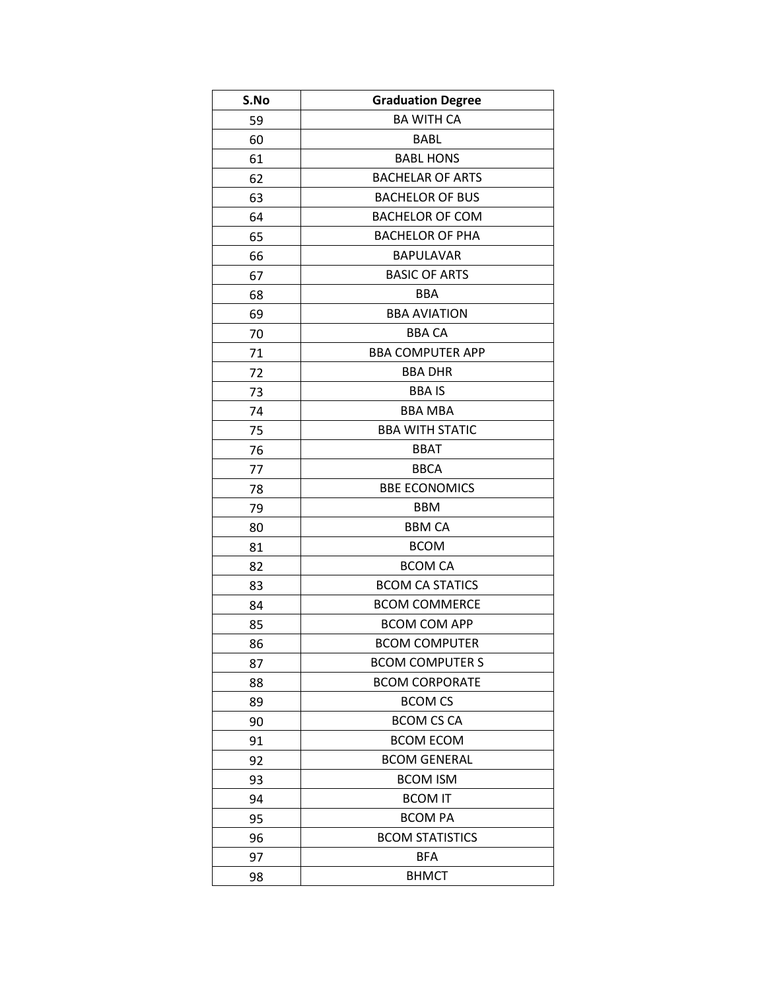| S.No | <b>Graduation Degree</b> |
|------|--------------------------|
| 59   | <b>BA WITH CA</b>        |
| 60   | <b>BABL</b>              |
| 61   | <b>BABL HONS</b>         |
| 62   | <b>BACHELAR OF ARTS</b>  |
| 63   | <b>BACHELOR OF BUS</b>   |
| 64   | <b>BACHELOR OF COM</b>   |
| 65   | <b>BACHELOR OF PHA</b>   |
| 66   | <b>BAPULAVAR</b>         |
| 67   | <b>BASIC OF ARTS</b>     |
| 68   | <b>BBA</b>               |
| 69   | <b>BBA AVIATION</b>      |
| 70   | <b>BBA CA</b>            |
| 71   | <b>BBA COMPUTER APP</b>  |
| 72   | <b>BBA DHR</b>           |
| 73   | <b>BBAIS</b>             |
| 74   | <b>BBA MBA</b>           |
| 75   | <b>BBA WITH STATIC</b>   |
| 76   | <b>BBAT</b>              |
| 77   | <b>BBCA</b>              |
| 78   | <b>BBE ECONOMICS</b>     |
| 79   | <b>BBM</b>               |
| 80   | <b>BBM CA</b>            |
| 81   | <b>BCOM</b>              |
| 82   | <b>BCOM CA</b>           |
| 83   | <b>BCOM CA STATICS</b>   |
| 84   | <b>BCOM COMMERCE</b>     |
| 85   | <b>BCOM COM APP</b>      |
| 86   | <b>BCOM COMPUTER</b>     |
| 87   | <b>BCOM COMPUTER S</b>   |
| 88   | <b>BCOM CORPORATE</b>    |
| 89   | <b>BCOM CS</b>           |
| 90   | <b>BCOM CS CA</b>        |
| 91   | <b>BCOM ECOM</b>         |
| 92   | <b>BCOM GENERAL</b>      |
| 93   | <b>BCOM ISM</b>          |
| 94   | <b>BCOM IT</b>           |
| 95   | <b>BCOM PA</b>           |
| 96   | <b>BCOM STATISTICS</b>   |
| 97   | BFA                      |
| 98   | <b>BHMCT</b>             |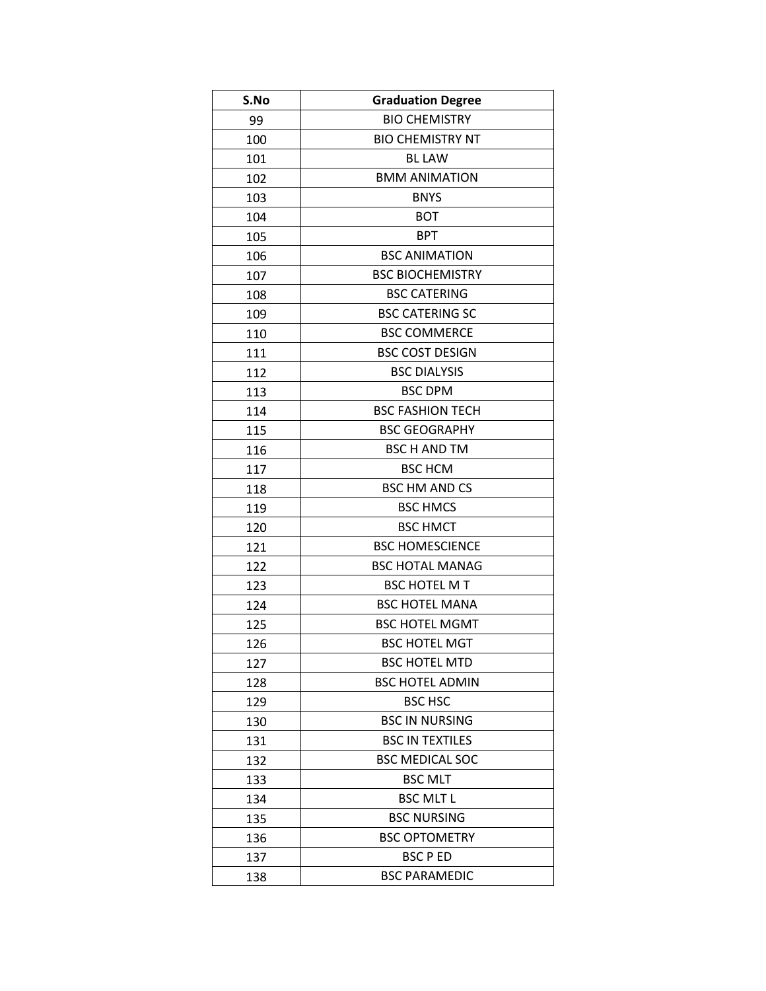| S.No | <b>Graduation Degree</b> |
|------|--------------------------|
| 99   | <b>BIO CHEMISTRY</b>     |
| 100  | <b>BIO CHEMISTRY NT</b>  |
| 101  | <b>BL LAW</b>            |
| 102  | <b>BMM ANIMATION</b>     |
| 103  | <b>BNYS</b>              |
| 104  | <b>BOT</b>               |
| 105  | <b>BPT</b>               |
| 106  | <b>BSC ANIMATION</b>     |
| 107  | <b>BSC BIOCHEMISTRY</b>  |
| 108  | <b>BSC CATERING</b>      |
| 109  | <b>BSC CATERING SC</b>   |
| 110  | <b>BSC COMMERCE</b>      |
| 111  | <b>BSC COST DESIGN</b>   |
| 112  | <b>BSC DIALYSIS</b>      |
| 113  | <b>BSC DPM</b>           |
| 114  | <b>BSC FASHION TECH</b>  |
| 115  | <b>BSC GEOGRAPHY</b>     |
| 116  | <b>BSC H AND TM</b>      |
| 117  | <b>BSC HCM</b>           |
| 118  | <b>BSC HM AND CS</b>     |
| 119  | <b>BSC HMCS</b>          |
| 120  | <b>BSC HMCT</b>          |
| 121  | <b>BSC HOMESCIENCE</b>   |
| 122  | <b>BSC HOTAL MANAG</b>   |
| 123  | <b>BSC HOTEL MT</b>      |
| 124  | <b>BSC HOTEL MANA</b>    |
| 125  | <b>BSC HOTEL MGMT</b>    |
| 126  | <b>BSC HOTEL MGT</b>     |
| 127  | <b>BSC HOTEL MTD</b>     |
| 128  | <b>BSC HOTEL ADMIN</b>   |
| 129  | <b>BSC HSC</b>           |
| 130  | <b>BSC IN NURSING</b>    |
| 131  | <b>BSC IN TEXTILES</b>   |
| 132  | <b>BSC MEDICAL SOC</b>   |
| 133  | <b>BSC MLT</b>           |
| 134  | <b>BSC MLT L</b>         |
| 135  | <b>BSC NURSING</b>       |
| 136  | <b>BSC OPTOMETRY</b>     |
| 137  | <b>BSC P ED</b>          |
| 138  | <b>BSC PARAMEDIC</b>     |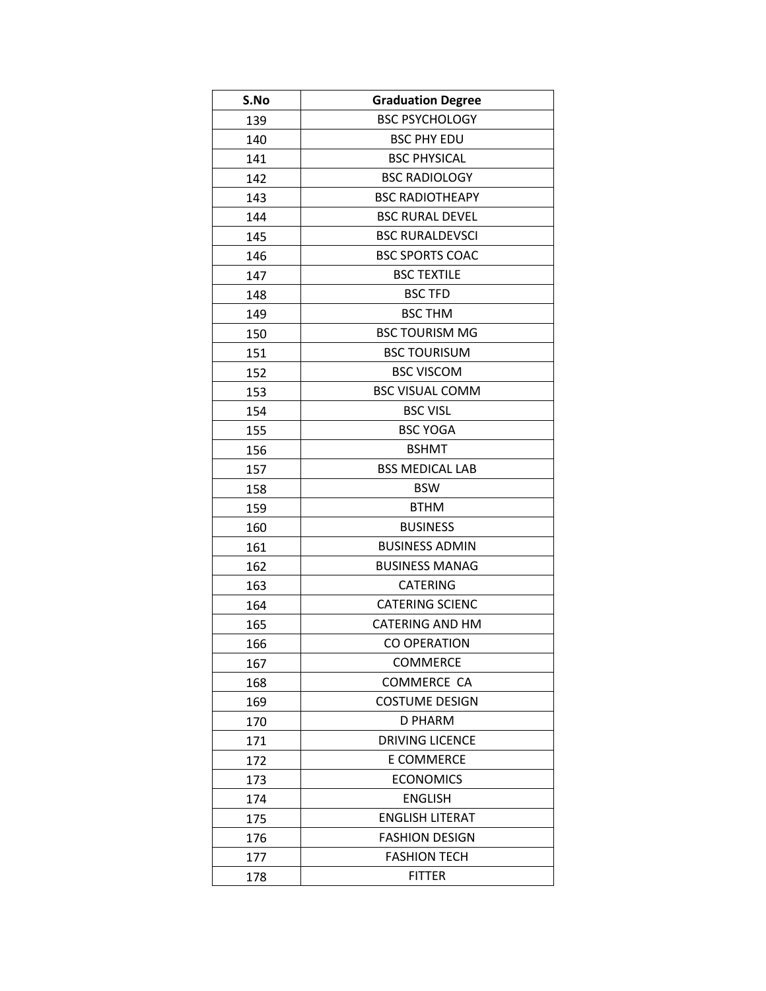| S.No | <b>Graduation Degree</b> |
|------|--------------------------|
| 139  | <b>BSC PSYCHOLOGY</b>    |
| 140  | <b>BSC PHY EDU</b>       |
| 141  | <b>BSC PHYSICAL</b>      |
| 142  | <b>BSC RADIOLOGY</b>     |
| 143  | <b>BSC RADIOTHEAPY</b>   |
| 144  | <b>BSC RURAL DEVEL</b>   |
| 145  | <b>BSC RURALDEVSCI</b>   |
| 146  | <b>BSC SPORTS COAC</b>   |
| 147  | <b>BSC TEXTILE</b>       |
| 148  | <b>BSC TFD</b>           |
| 149  | <b>BSC THM</b>           |
| 150  | <b>BSC TOURISM MG</b>    |
| 151  | <b>BSC TOURISUM</b>      |
| 152  | <b>BSC VISCOM</b>        |
| 153  | <b>BSC VISUAL COMM</b>   |
| 154  | <b>BSC VISL</b>          |
| 155  | <b>BSC YOGA</b>          |
| 156  | <b>BSHMT</b>             |
| 157  | <b>BSS MEDICAL LAB</b>   |
| 158  | <b>BSW</b>               |
| 159  | <b>BTHM</b>              |
| 160  | <b>BUSINESS</b>          |
| 161  | <b>BUSINESS ADMIN</b>    |
| 162  | <b>BUSINESS MANAG</b>    |
| 163  | <b>CATERING</b>          |
| 164  | <b>CATERING SCIENC</b>   |
| 165  | <b>CATERING AND HM</b>   |
| 166  | <b>CO OPERATION</b>      |
| 167  | <b>COMMERCE</b>          |
| 168  | <b>COMMERCE CA</b>       |
| 169  | <b>COSTUME DESIGN</b>    |
| 170  | D PHARM                  |
| 171  | <b>DRIVING LICENCE</b>   |
| 172  | E COMMERCE               |
| 173  | <b>ECONOMICS</b>         |
| 174  | <b>ENGLISH</b>           |
| 175  | <b>ENGLISH LITERAT</b>   |
| 176  | <b>FASHION DESIGN</b>    |
| 177  | <b>FASHION TECH</b>      |
| 178  | <b>FITTER</b>            |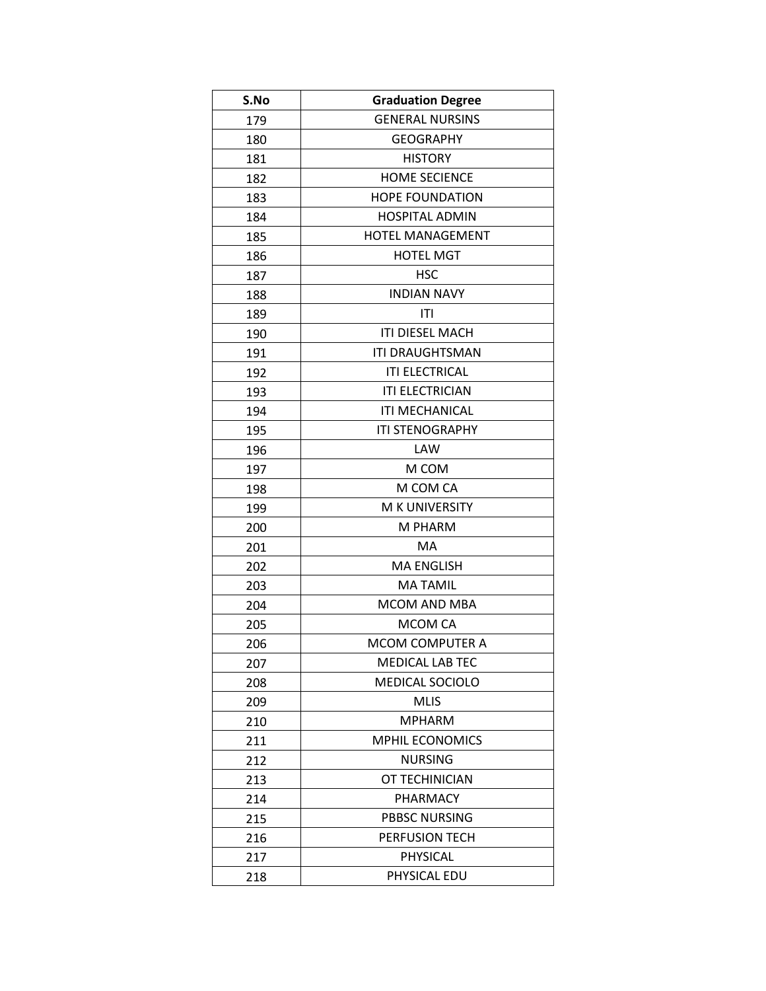| S.No | <b>Graduation Degree</b> |
|------|--------------------------|
| 179  | <b>GENERAL NURSINS</b>   |
| 180  | <b>GEOGRAPHY</b>         |
| 181  | <b>HISTORY</b>           |
| 182  | <b>HOME SECIENCE</b>     |
| 183  | <b>HOPE FOUNDATION</b>   |
| 184  | <b>HOSPITAL ADMIN</b>    |
| 185  | <b>HOTEL MANAGEMENT</b>  |
| 186  | <b>HOTEL MGT</b>         |
| 187  | <b>HSC</b>               |
| 188  | <b>INDIAN NAVY</b>       |
| 189  | ITI                      |
| 190  | <b>ITI DIESEL MACH</b>   |
| 191  | <b>ITI DRAUGHTSMAN</b>   |
| 192  | <b>ITI ELECTRICAL</b>    |
| 193  | <b>ITI ELECTRICIAN</b>   |
| 194  | <b>ITI MECHANICAL</b>    |
| 195  | <b>ITI STENOGRAPHY</b>   |
| 196  | LAW                      |
| 197  | M COM                    |
| 198  | M COM CA                 |
| 199  | M K UNIVERSITY           |
| 200  | M PHARM                  |
| 201  | MA                       |
| 202  | <b>MA ENGLISH</b>        |
| 203  | <b>MATAMIL</b>           |
| 204  | MCOM AND MBA             |
| 205  | MCOM CA                  |
| 206  | <b>MCOM COMPUTER A</b>   |
| 207  | <b>MEDICAL LAB TEC</b>   |
| 208  | <b>MEDICAL SOCIOLO</b>   |
| 209  | <b>MLIS</b>              |
| 210  | <b>MPHARM</b>            |
| 211  | <b>MPHIL ECONOMICS</b>   |
| 212  | <b>NURSING</b>           |
| 213  | OT TECHINICIAN           |
| 214  | PHARMACY                 |
| 215  | <b>PBBSC NURSING</b>     |
| 216  | PERFUSION TECH           |
| 217  | PHYSICAL                 |
| 218  | PHYSICAL EDU             |